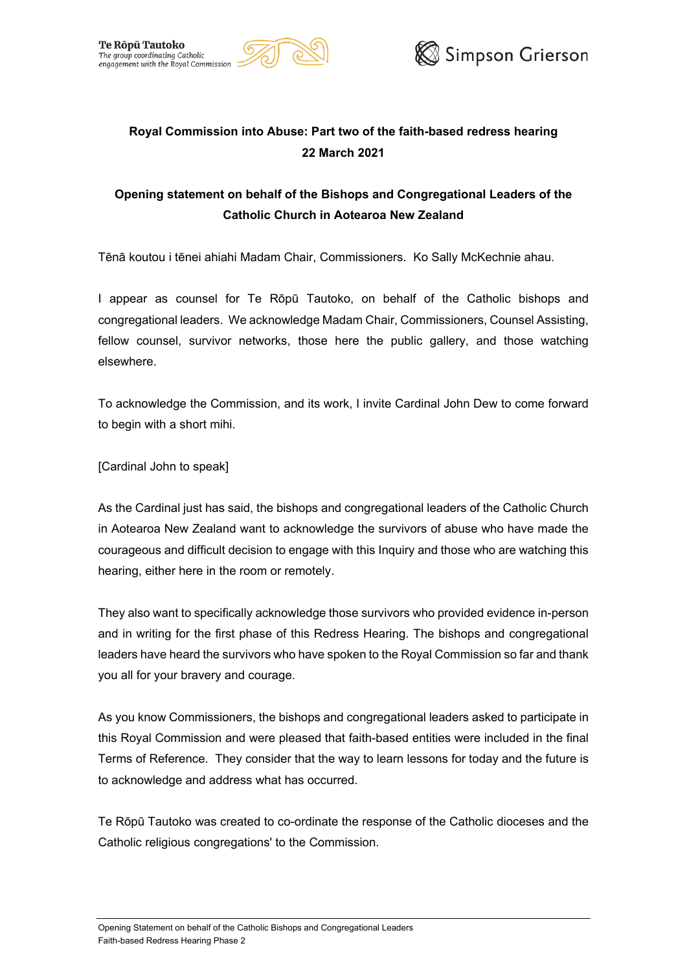



# **Royal Commission into Abuse: Part two of the faith-based redress hearing 22 March 2021**

# **Opening statement on behalf of the Bishops and Congregational Leaders of the Catholic Church in Aotearoa New Zealand**

Tēnā koutou i tēnei ahiahi Madam Chair, Commissioners. Ko Sally McKechnie ahau.

I appear as counsel for Te Rōpū Tautoko, on behalf of the Catholic bishops and congregational leaders. We acknowledge Madam Chair, Commissioners, Counsel Assisting, fellow counsel, survivor networks, those here the public gallery, and those watching elsewhere.

To acknowledge the Commission, and its work, I invite Cardinal John Dew to come forward to begin with a short mihi.

[Cardinal John to speak]

As the Cardinal just has said, the bishops and congregational leaders of the Catholic Church in Aotearoa New Zealand want to acknowledge the survivors of abuse who have made the courageous and difficult decision to engage with this Inquiry and those who are watching this hearing, either here in the room or remotely.

They also want to specifically acknowledge those survivors who provided evidence in-person and in writing for the first phase of this Redress Hearing. The bishops and congregational leaders have heard the survivors who have spoken to the Royal Commission so far and thank you all for your bravery and courage.

As you know Commissioners, the bishops and congregational leaders asked to participate in this Royal Commission and were pleased that faith-based entities were included in the final Terms of Reference. They consider that the way to learn lessons for today and the future is to acknowledge and address what has occurred.

Te Rōpū Tautoko was created to co-ordinate the response of the Catholic dioceses and the Catholic religious congregations' to the Commission.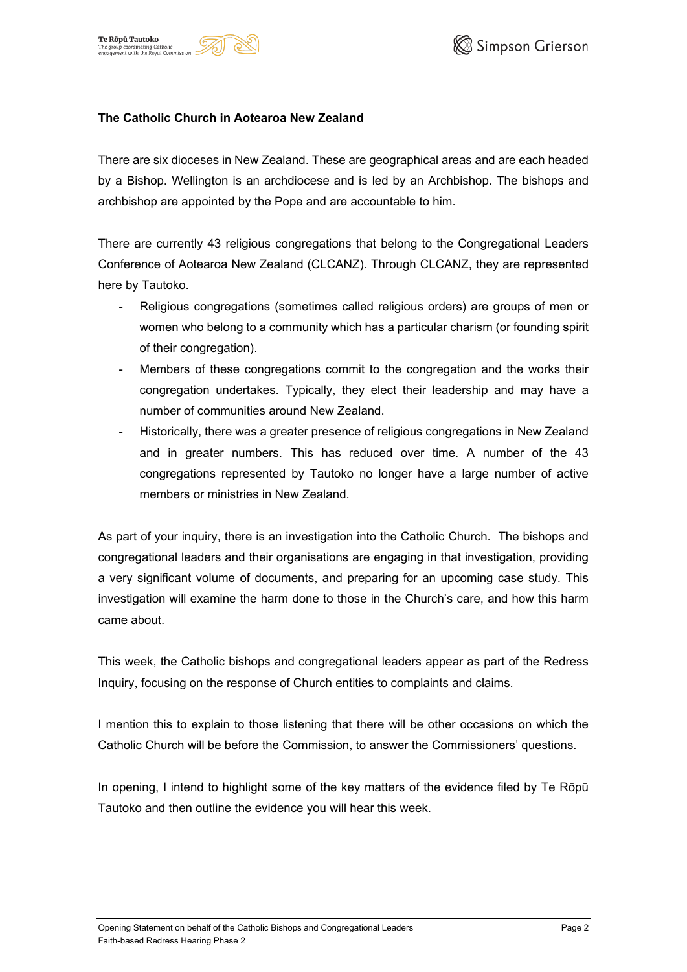





#### **The Catholic Church in Aotearoa New Zealand**

There are six dioceses in New Zealand. These are geographical areas and are each headed by a Bishop. Wellington is an archdiocese and is led by an Archbishop. The bishops and archbishop are appointed by the Pope and are accountable to him.

There are currently 43 religious congregations that belong to the Congregational Leaders Conference of Aotearoa New Zealand (CLCANZ). Through CLCANZ, they are represented here by Tautoko.

- Religious congregations (sometimes called religious orders) are groups of men or women who belong to a community which has a particular charism (or founding spirit of their congregation).
- Members of these congregations commit to the congregation and the works their congregation undertakes. Typically, they elect their leadership and may have a number of communities around New Zealand.
- Historically, there was a greater presence of religious congregations in New Zealand and in greater numbers. This has reduced over time. A number of the 43 congregations represented by Tautoko no longer have a large number of active members or ministries in New Zealand.

As part of your inquiry, there is an investigation into the Catholic Church. The bishops and congregational leaders and their organisations are engaging in that investigation, providing a very significant volume of documents, and preparing for an upcoming case study. This investigation will examine the harm done to those in the Church's care, and how this harm came about.

This week, the Catholic bishops and congregational leaders appear as part of the Redress Inquiry, focusing on the response of Church entities to complaints and claims.

I mention this to explain to those listening that there will be other occasions on which the Catholic Church will be before the Commission, to answer the Commissioners' questions.

In opening, I intend to highlight some of the key matters of the evidence filed by Te Rōpū Tautoko and then outline the evidence you will hear this week.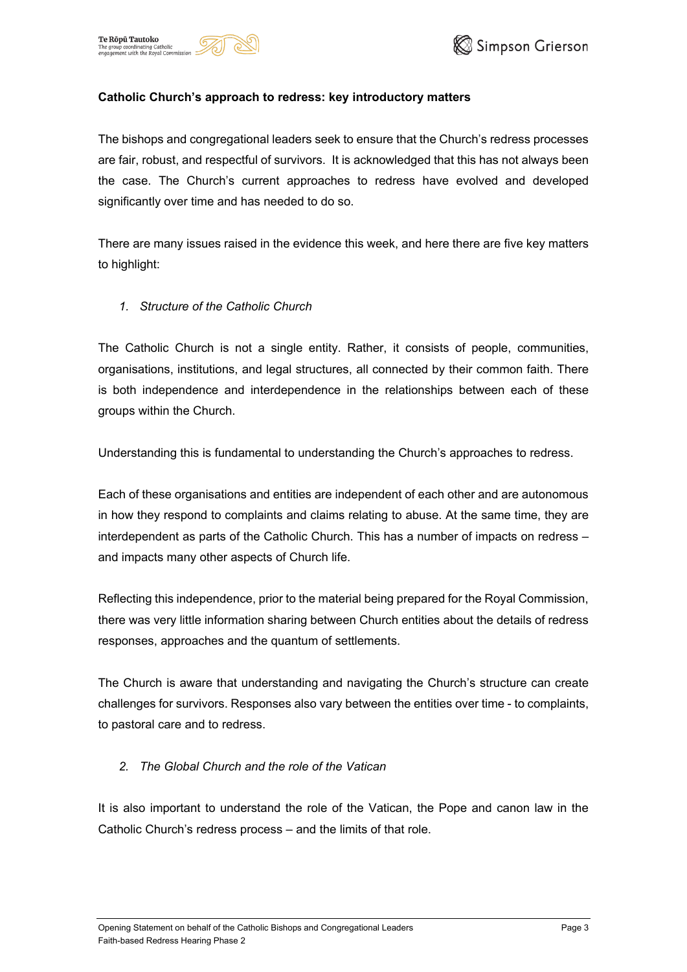





#### **Catholic Church's approach to redress: key introductory matters**

The bishops and congregational leaders seek to ensure that the Church's redress processes are fair, robust, and respectful of survivors. It is acknowledged that this has not always been the case. The Church's current approaches to redress have evolved and developed significantly over time and has needed to do so.

There are many issues raised in the evidence this week, and here there are five key matters to highlight:

#### *1. Structure of the Catholic Church*

The Catholic Church is not a single entity. Rather, it consists of people, communities, organisations, institutions, and legal structures, all connected by their common faith. There is both independence and interdependence in the relationships between each of these groups within the Church.

Understanding this is fundamental to understanding the Church's approaches to redress.

Each of these organisations and entities are independent of each other and are autonomous in how they respond to complaints and claims relating to abuse. At the same time, they are interdependent as parts of the Catholic Church. This has a number of impacts on redress – and impacts many other aspects of Church life.

Reflecting this independence, prior to the material being prepared for the Royal Commission, there was very little information sharing between Church entities about the details of redress responses, approaches and the quantum of settlements.

The Church is aware that understanding and navigating the Church's structure can create challenges for survivors. Responses also vary between the entities over time - to complaints, to pastoral care and to redress.

# *2. The Global Church and the role of the Vatican*

It is also important to understand the role of the Vatican, the Pope and canon law in the Catholic Church's redress process – and the limits of that role.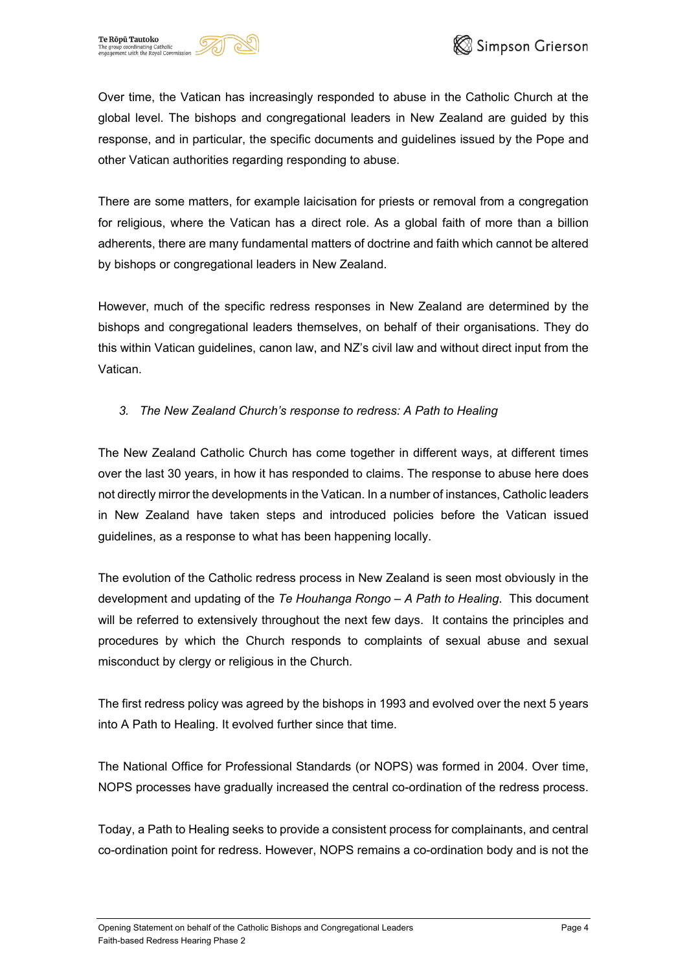





Over time, the Vatican has increasingly responded to abuse in the Catholic Church at the global level. The bishops and congregational leaders in New Zealand are guided by this response, and in particular, the specific documents and guidelines issued by the Pope and other Vatican authorities regarding responding to abuse.

There are some matters, for example laicisation for priests or removal from a congregation for religious, where the Vatican has a direct role. As a global faith of more than a billion adherents, there are many fundamental matters of doctrine and faith which cannot be altered by bishops or congregational leaders in New Zealand.

However, much of the specific redress responses in New Zealand are determined by the bishops and congregational leaders themselves, on behalf of their organisations. They do this within Vatican guidelines, canon law, and NZ's civil law and without direct input from the Vatican.

# *3. The New Zealand Church's response to redress: A Path to Healing*

The New Zealand Catholic Church has come together in different ways, at different times over the last 30 years, in how it has responded to claims. The response to abuse here does not directly mirror the developments in the Vatican. In a number of instances, Catholic leaders in New Zealand have taken steps and introduced policies before the Vatican issued guidelines, as a response to what has been happening locally.

The evolution of the Catholic redress process in New Zealand is seen most obviously in the development and updating of the *Te Houhanga Rongo – A Path to Healing*. This document will be referred to extensively throughout the next few days. It contains the principles and procedures by which the Church responds to complaints of sexual abuse and sexual misconduct by clergy or religious in the Church.

The first redress policy was agreed by the bishops in 1993 and evolved over the next 5 years into A Path to Healing. It evolved further since that time.

The National Office for Professional Standards (or NOPS) was formed in 2004. Over time, NOPS processes have gradually increased the central co-ordination of the redress process.

Today, a Path to Healing seeks to provide a consistent process for complainants, and central co-ordination point for redress. However, NOPS remains a co-ordination body and is not the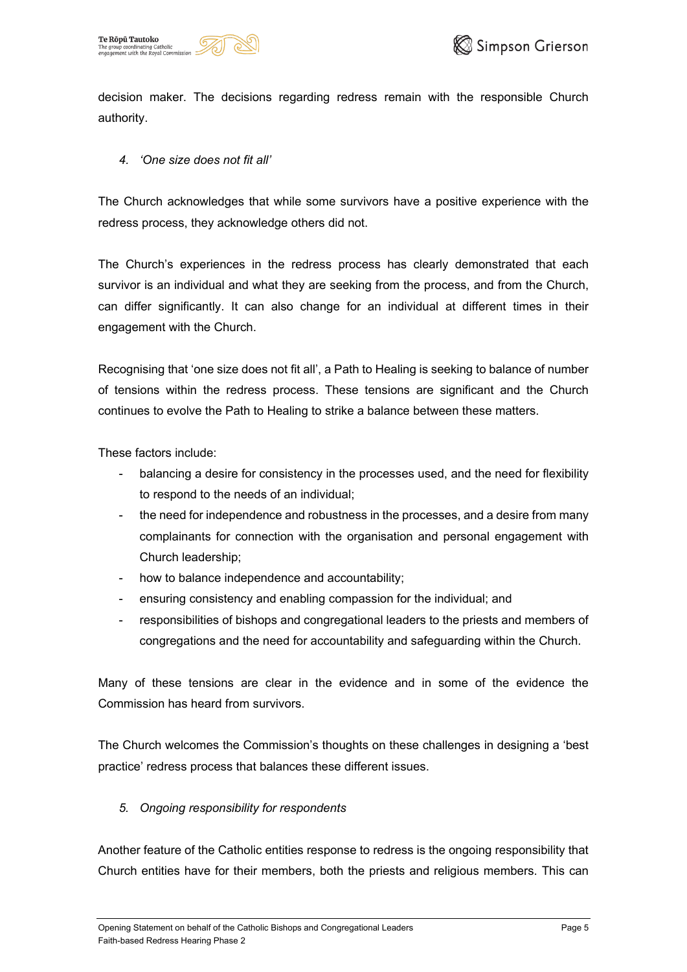





decision maker. The decisions regarding redress remain with the responsible Church authority.

# *4. 'One size does not fit all'*

The Church acknowledges that while some survivors have a positive experience with the redress process, they acknowledge others did not.

The Church's experiences in the redress process has clearly demonstrated that each survivor is an individual and what they are seeking from the process, and from the Church, can differ significantly. It can also change for an individual at different times in their engagement with the Church.

Recognising that 'one size does not fit all', a Path to Healing is seeking to balance of number of tensions within the redress process. These tensions are significant and the Church continues to evolve the Path to Healing to strike a balance between these matters.

These factors include:

- balancing a desire for consistency in the processes used, and the need for flexibility to respond to the needs of an individual;
- the need for independence and robustness in the processes, and a desire from many complainants for connection with the organisation and personal engagement with Church leadership;
- how to balance independence and accountability;
- ensuring consistency and enabling compassion for the individual; and
- responsibilities of bishops and congregational leaders to the priests and members of congregations and the need for accountability and safeguarding within the Church.

Many of these tensions are clear in the evidence and in some of the evidence the Commission has heard from survivors.

The Church welcomes the Commission's thoughts on these challenges in designing a 'best practice' redress process that balances these different issues.

# *5. Ongoing responsibility for respondents*

Another feature of the Catholic entities response to redress is the ongoing responsibility that Church entities have for their members, both the priests and religious members. This can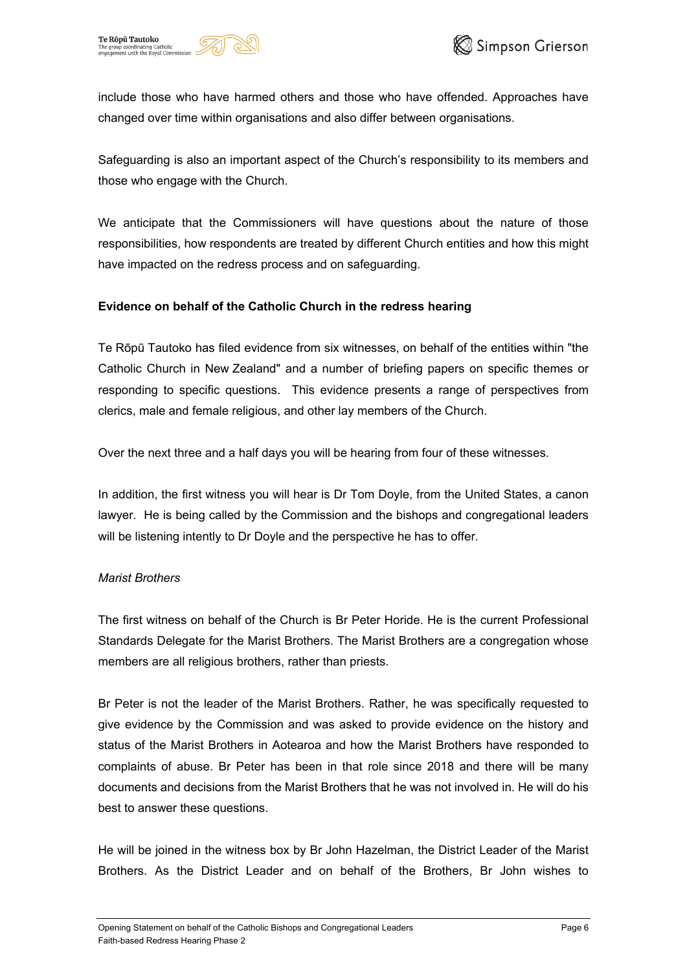



include those who have harmed others and those who have offended. Approaches have changed over time within organisations and also differ between organisations.

Safeguarding is also an important aspect of the Church's responsibility to its members and those who engage with the Church.

We anticipate that the Commissioners will have questions about the nature of those responsibilities, how respondents are treated by different Church entities and how this might have impacted on the redress process and on safeguarding.

# **Evidence on behalf of the Catholic Church in the redress hearing**

Te Rōpū Tautoko has filed evidence from six witnesses, on behalf of the entities within "the Catholic Church in New Zealand" and a number of briefing papers on specific themes or responding to specific questions. This evidence presents a range of perspectives from clerics, male and female religious, and other lay members of the Church.

Over the next three and a half days you will be hearing from four of these witnesses.

In addition, the first witness you will hear is Dr Tom Doyle, from the United States, a canon lawyer. He is being called by the Commission and the bishops and congregational leaders will be listening intently to Dr Doyle and the perspective he has to offer.

#### *Marist Brothers*

The first witness on behalf of the Church is Br Peter Horide. He is the current Professional Standards Delegate for the Marist Brothers. The Marist Brothers are a congregation whose members are all religious brothers, rather than priests.

Br Peter is not the leader of the Marist Brothers. Rather, he was specifically requested to give evidence by the Commission and was asked to provide evidence on the history and status of the Marist Brothers in Aotearoa and how the Marist Brothers have responded to complaints of abuse. Br Peter has been in that role since 2018 and there will be many documents and decisions from the Marist Brothers that he was not involved in. He will do his best to answer these questions.

He will be joined in the witness box by Br John Hazelman, the District Leader of the Marist Brothers. As the District Leader and on behalf of the Brothers, Br John wishes to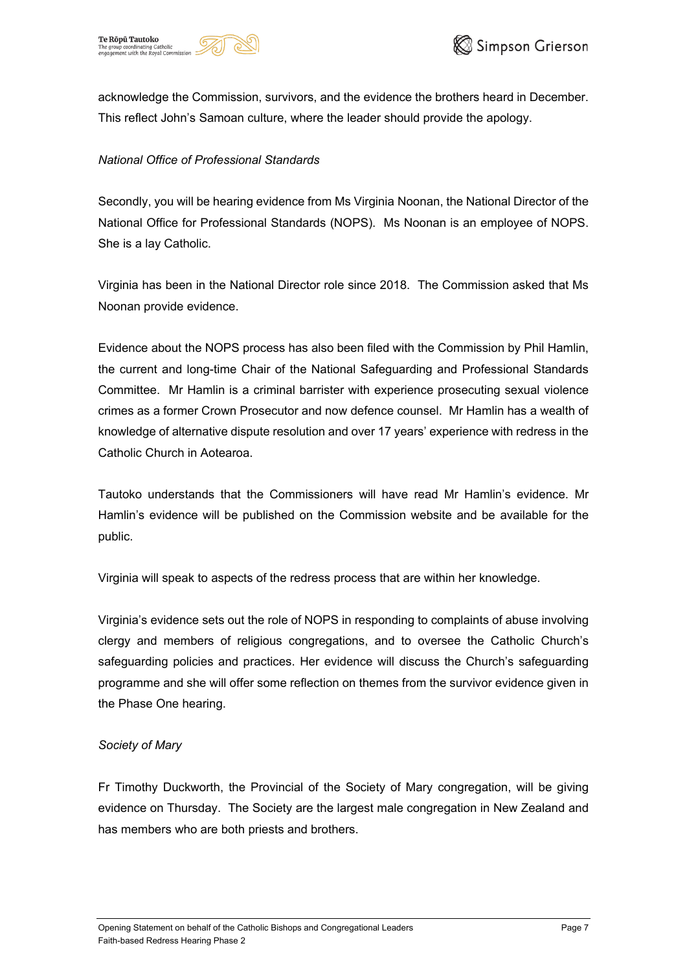



acknowledge the Commission, survivors, and the evidence the brothers heard in December. This reflect John's Samoan culture, where the leader should provide the apology.

### *National Office of Professional Standards*

Secondly, you will be hearing evidence from Ms Virginia Noonan, the National Director of the National Office for Professional Standards (NOPS). Ms Noonan is an employee of NOPS. She is a lay Catholic.

Virginia has been in the National Director role since 2018. The Commission asked that Ms Noonan provide evidence.

Evidence about the NOPS process has also been filed with the Commission by Phil Hamlin, the current and long-time Chair of the National Safeguarding and Professional Standards Committee. Mr Hamlin is a criminal barrister with experience prosecuting sexual violence crimes as a former Crown Prosecutor and now defence counsel. Mr Hamlin has a wealth of knowledge of alternative dispute resolution and over 17 years' experience with redress in the Catholic Church in Aotearoa.

Tautoko understands that the Commissioners will have read Mr Hamlin's evidence. Mr Hamlin's evidence will be published on the Commission website and be available for the public.

Virginia will speak to aspects of the redress process that are within her knowledge.

Virginia's evidence sets out the role of NOPS in responding to complaints of abuse involving clergy and members of religious congregations, and to oversee the Catholic Church's safeguarding policies and practices. Her evidence will discuss the Church's safeguarding programme and she will offer some reflection on themes from the survivor evidence given in the Phase One hearing.

# *Society of Mary*

Fr Timothy Duckworth, the Provincial of the Society of Mary congregation, will be giving evidence on Thursday. The Society are the largest male congregation in New Zealand and has members who are both priests and brothers.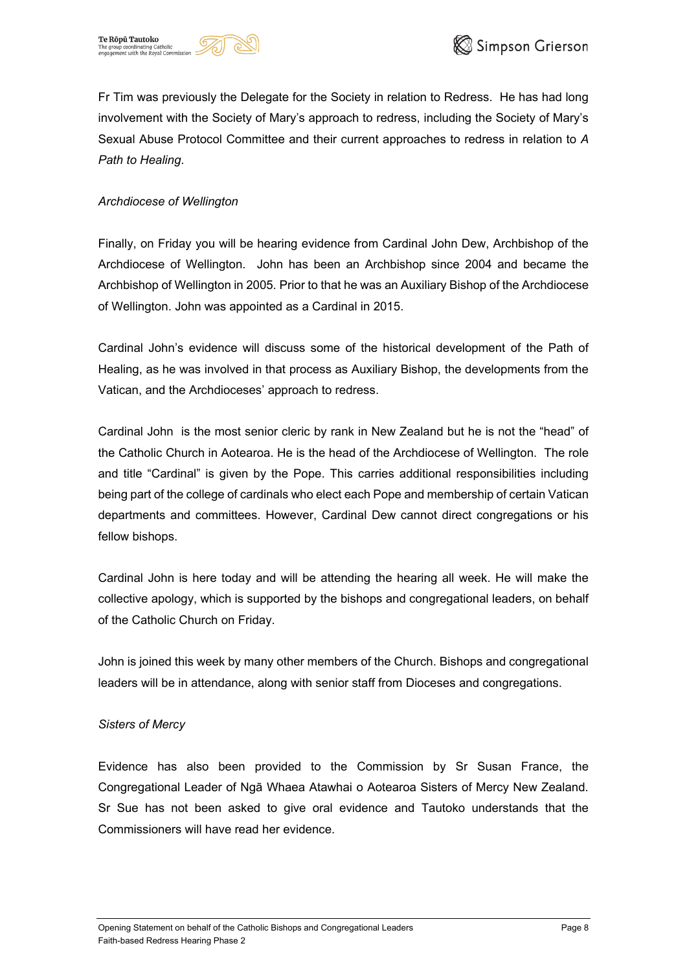





Fr Tim was previously the Delegate for the Society in relation to Redress. He has had long involvement with the Society of Mary's approach to redress, including the Society of Mary's Sexual Abuse Protocol Committee and their current approaches to redress in relation to *A Path to Healing*.

### *Archdiocese of Wellington*

Finally, on Friday you will be hearing evidence from Cardinal John Dew, Archbishop of the Archdiocese of Wellington. John has been an Archbishop since 2004 and became the Archbishop of Wellington in 2005. Prior to that he was an Auxiliary Bishop of the Archdiocese of Wellington. John was appointed as a Cardinal in 2015.

Cardinal John's evidence will discuss some of the historical development of the Path of Healing, as he was involved in that process as Auxiliary Bishop, the developments from the Vatican, and the Archdioceses' approach to redress.

Cardinal John is the most senior cleric by rank in New Zealand but he is not the "head" of the Catholic Church in Aotearoa. He is the head of the Archdiocese of Wellington. The role and title "Cardinal" is given by the Pope. This carries additional responsibilities including being part of the college of cardinals who elect each Pope and membership of certain Vatican departments and committees. However, Cardinal Dew cannot direct congregations or his fellow bishops.

Cardinal John is here today and will be attending the hearing all week. He will make the collective apology, which is supported by the bishops and congregational leaders, on behalf of the Catholic Church on Friday.

John is joined this week by many other members of the Church. Bishops and congregational leaders will be in attendance, along with senior staff from Dioceses and congregations.

#### *Sisters of Mercy*

Evidence has also been provided to the Commission by Sr Susan France, the Congregational Leader of Ngā Whaea Atawhai o Aotearoa Sisters of Mercy New Zealand. Sr Sue has not been asked to give oral evidence and Tautoko understands that the Commissioners will have read her evidence.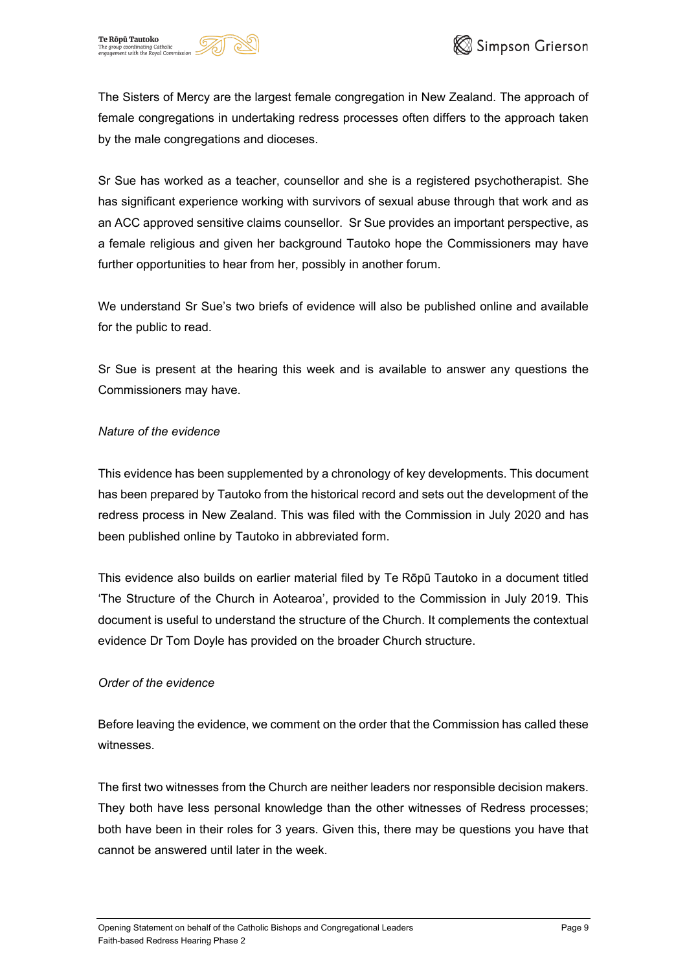





The Sisters of Mercy are the largest female congregation in New Zealand. The approach of female congregations in undertaking redress processes often differs to the approach taken by the male congregations and dioceses.

Sr Sue has worked as a teacher, counsellor and she is a registered psychotherapist. She has significant experience working with survivors of sexual abuse through that work and as an ACC approved sensitive claims counsellor. Sr Sue provides an important perspective, as a female religious and given her background Tautoko hope the Commissioners may have further opportunities to hear from her, possibly in another forum.

We understand Sr Sue's two briefs of evidence will also be published online and available for the public to read.

Sr Sue is present at the hearing this week and is available to answer any questions the Commissioners may have.

#### *Nature of the evidence*

This evidence has been supplemented by a chronology of key developments. This document has been prepared by Tautoko from the historical record and sets out the development of the redress process in New Zealand. This was filed with the Commission in July 2020 and has been published online by Tautoko in abbreviated form.

This evidence also builds on earlier material filed by Te Rōpū Tautoko in a document titled 'The Structure of the Church in Aotearoa', provided to the Commission in July 2019. This document is useful to understand the structure of the Church. It complements the contextual evidence Dr Tom Doyle has provided on the broader Church structure.

# *Order of the evidence*

Before leaving the evidence, we comment on the order that the Commission has called these witnesses.

The first two witnesses from the Church are neither leaders nor responsible decision makers. They both have less personal knowledge than the other witnesses of Redress processes; both have been in their roles for 3 years. Given this, there may be questions you have that cannot be answered until later in the week.